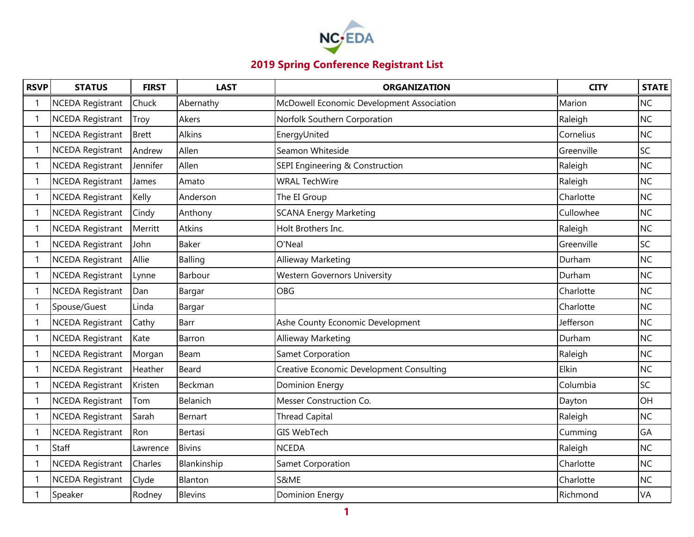

| <b>RSVP</b>  | <b>STATUS</b>           | <b>FIRST</b> | <b>LAST</b>    | <b>ORGANIZATION</b>                       | <b>CITY</b> | <b>STATE</b> |
|--------------|-------------------------|--------------|----------------|-------------------------------------------|-------------|--------------|
|              | <b>NCEDA Registrant</b> | Chuck        | Abernathy      | McDowell Economic Development Association | Marion      | <b>NC</b>    |
|              | <b>NCEDA Registrant</b> | Troy         | Akers          | Norfolk Southern Corporation              | Raleigh     | <b>NC</b>    |
| $\mathbf{1}$ | <b>NCEDA Registrant</b> | <b>Brett</b> | <b>Alkins</b>  | EnergyUnited                              | Cornelius   | <b>NC</b>    |
|              | <b>NCEDA Registrant</b> | Andrew       | Allen          | Seamon Whiteside                          | Greenville  | <b>SC</b>    |
|              | <b>NCEDA Registrant</b> | Jennifer     | Allen          | SEPI Engineering & Construction           | Raleigh     | <b>NC</b>    |
|              | <b>NCEDA Registrant</b> | James        | Amato          | <b>WRAL TechWire</b>                      | Raleigh     | <b>NC</b>    |
|              | <b>NCEDA Registrant</b> | Kelly        | Anderson       | The EI Group                              | Charlotte   | <b>NC</b>    |
|              | <b>NCEDA Registrant</b> | Cindy        | Anthony        | <b>SCANA Energy Marketing</b>             | Cullowhee   | <b>NC</b>    |
|              | <b>NCEDA Registrant</b> | Merritt      | <b>Atkins</b>  | Holt Brothers Inc.                        | Raleigh     | <b>NC</b>    |
|              | <b>NCEDA Registrant</b> | John         | <b>Baker</b>   | O'Neal                                    | Greenville  | SC           |
|              | NCEDA Registrant        | Allie        | Balling        | Allieway Marketing                        | Durham      | <b>NC</b>    |
| $\mathbf 1$  | <b>NCEDA Registrant</b> | Lynne        | Barbour        | <b>Western Governors University</b>       | Durham      | <b>NC</b>    |
|              | <b>NCEDA Registrant</b> | Dan          | Bargar         | <b>OBG</b>                                | Charlotte   | <b>NC</b>    |
| 1            | Spouse/Guest            | Linda        | Bargar         |                                           | Charlotte   | <b>NC</b>    |
|              | <b>NCEDA Registrant</b> | Cathy        | Barr           | Ashe County Economic Development          | Jefferson   | <b>NC</b>    |
| 1            | <b>NCEDA Registrant</b> | Kate         | Barron         | Allieway Marketing                        | Durham      | <b>NC</b>    |
|              | <b>NCEDA Registrant</b> | Morgan       | Beam           | Samet Corporation                         | Raleigh     | <b>NC</b>    |
|              | <b>NCEDA Registrant</b> | Heather      | Beard          | Creative Economic Development Consulting  | Elkin       | <b>NC</b>    |
|              | <b>NCEDA Registrant</b> | Kristen      | Beckman        | <b>Dominion Energy</b>                    | Columbia    | <b>SC</b>    |
| $\mathbf{1}$ | <b>NCEDA Registrant</b> | Tom          | Belanich       | Messer Construction Co.                   | Dayton      | OH           |
|              | <b>NCEDA Registrant</b> | Sarah        | Bernart        | <b>Thread Capital</b>                     | Raleigh     | <b>NC</b>    |
|              | <b>NCEDA Registrant</b> | Ron          | Bertasi        | <b>GIS WebTech</b>                        | Cumming     | GA           |
|              | Staff                   | Lawrence     | <b>Bivins</b>  | <b>NCEDA</b>                              | Raleigh     | <b>NC</b>    |
|              | <b>NCEDA Registrant</b> | Charles      | Blankinship    | Samet Corporation                         | Charlotte   | <b>NC</b>    |
| -1           | <b>NCEDA Registrant</b> | Clyde        | Blanton        | S&ME                                      | Charlotte   | <b>NC</b>    |
|              | Speaker                 | Rodney       | <b>Blevins</b> | Dominion Energy                           | Richmond    | VA           |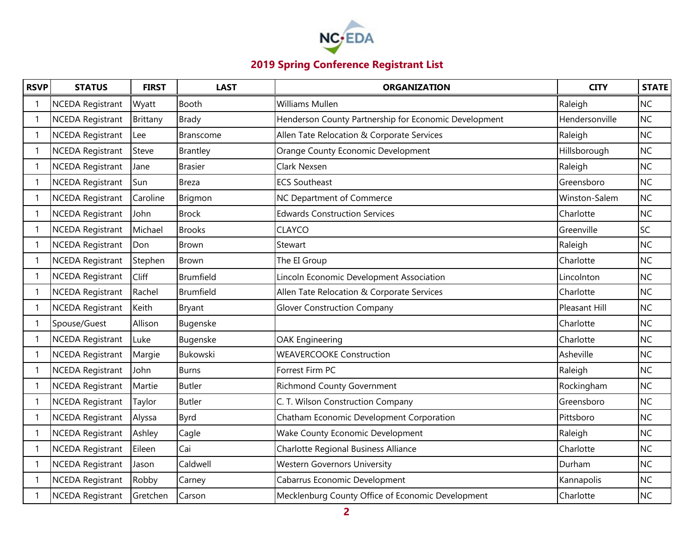

| <b>RSVP</b>  | <b>STATUS</b>           | <b>FIRST</b> | <b>LAST</b>      | <b>ORGANIZATION</b>                                   | <b>CITY</b>    | <b>STATE</b> |
|--------------|-------------------------|--------------|------------------|-------------------------------------------------------|----------------|--------------|
|              | <b>NCEDA Registrant</b> | Wyatt        | Booth            | <b>Williams Mullen</b>                                | Raleigh        | <b>NC</b>    |
| 1            | <b>NCEDA Registrant</b> | Brittany     | <b>Brady</b>     | Henderson County Partnership for Economic Development | Hendersonville | <b>NC</b>    |
| $\mathbf{1}$ | <b>NCEDA Registrant</b> | Lee          | <b>Branscome</b> | Allen Tate Relocation & Corporate Services            | Raleigh        | <b>NC</b>    |
| $\mathbf{1}$ | <b>NCEDA Registrant</b> | Steve        | Brantley         | Orange County Economic Development                    | Hillsborough   | <b>NC</b>    |
| -1           | <b>NCEDA Registrant</b> | Jane         | <b>Brasier</b>   | Clark Nexsen                                          | Raleigh        | <b>NC</b>    |
| -1           | NCEDA Registrant        | Sun          | <b>Breza</b>     | <b>ECS Southeast</b>                                  | Greensboro     | <b>NC</b>    |
| $\mathbf 1$  | <b>NCEDA Registrant</b> | Caroline     | Brigmon          | NC Department of Commerce                             | Winston-Salem  | <b>NC</b>    |
| $\mathbf 1$  | <b>NCEDA Registrant</b> | John         | <b>Brock</b>     | <b>Edwards Construction Services</b>                  | Charlotte      | <b>NC</b>    |
|              | <b>NCEDA Registrant</b> | Michael      | <b>Brooks</b>    | <b>CLAYCO</b>                                         | Greenville     | <b>SC</b>    |
|              | <b>NCEDA Registrant</b> | Don          | Brown            | Stewart                                               | Raleigh        | <b>NC</b>    |
| -1           | <b>NCEDA Registrant</b> | Stephen      | <b>Brown</b>     | The EI Group                                          | Charlotte      | <b>NC</b>    |
| 1            | <b>NCEDA Registrant</b> | Cliff        | Brumfield        | Lincoln Economic Development Association              | Lincolnton     | <b>NC</b>    |
|              | <b>NCEDA Registrant</b> | Rachel       | Brumfield        | Allen Tate Relocation & Corporate Services            | Charlotte      | <b>NC</b>    |
|              | <b>NCEDA Registrant</b> | Keith        | Bryant           | <b>Glover Construction Company</b>                    | Pleasant Hill  | <b>NC</b>    |
|              | Spouse/Guest            | Allison      | Bugenske         |                                                       | Charlotte      | <b>NC</b>    |
|              | <b>NCEDA Registrant</b> | Luke         | Bugenske         | <b>OAK Engineering</b>                                | Charlotte      | <b>NC</b>    |
|              | <b>NCEDA Registrant</b> | Margie       | Bukowski         | <b>WEAVERCOOKE Construction</b>                       | Asheville      | <b>NC</b>    |
|              | <b>NCEDA Registrant</b> | John         | <b>Burns</b>     | Forrest Firm PC                                       | Raleigh        | <b>NC</b>    |
|              | <b>NCEDA Registrant</b> | Martie       | <b>Butler</b>    | <b>Richmond County Government</b>                     | Rockingham     | <b>NC</b>    |
| -1           | <b>NCEDA Registrant</b> | Taylor       | <b>Butler</b>    | C. T. Wilson Construction Company                     | Greensboro     | <b>NC</b>    |
|              | <b>NCEDA Registrant</b> | Alyssa       | Byrd             | Chatham Economic Development Corporation              | Pittsboro      | <b>NC</b>    |
|              | <b>NCEDA Registrant</b> | Ashley       | Cagle            | Wake County Economic Development                      | Raleigh        | <b>NC</b>    |
| $\mathbf 1$  | <b>NCEDA Registrant</b> | Eileen       | Cai              | Charlotte Regional Business Alliance                  | Charlotte      | <b>NC</b>    |
| $\mathbf 1$  | <b>NCEDA Registrant</b> | Jason        | Caldwell         | <b>Western Governors University</b>                   | Durham         | <b>NC</b>    |
| -1           | <b>NCEDA Registrant</b> | Robby        | Carney           | Cabarrus Economic Development                         | Kannapolis     | <b>NC</b>    |
|              | <b>NCEDA Registrant</b> | Gretchen     | Carson           | Mecklenburg County Office of Economic Development     | Charlotte      | <b>NC</b>    |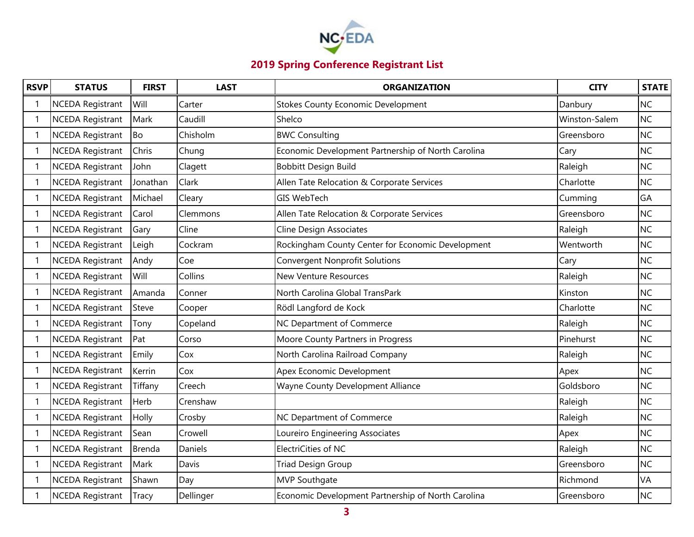

| <b>RSVP</b>              | <b>STATUS</b>           | <b>FIRST</b> | <b>LAST</b> | <b>ORGANIZATION</b>                                | <b>CITY</b>   | <b>STATE</b> |
|--------------------------|-------------------------|--------------|-------------|----------------------------------------------------|---------------|--------------|
|                          | <b>NCEDA Registrant</b> | Will         | Carter      | <b>Stokes County Economic Development</b>          | Danbury       | <b>NC</b>    |
| $\mathbf{1}$             | <b>NCEDA Registrant</b> | Mark         | Caudill     | Shelco                                             | Winston-Salem | <b>NC</b>    |
| -1                       | <b>NCEDA Registrant</b> | <b>Bo</b>    | Chisholm    | <b>BWC Consulting</b>                              | Greensboro    | <b>NC</b>    |
| $\mathbf 1$              | <b>NCEDA Registrant</b> | Chris        | Chung       | Economic Development Partnership of North Carolina | Cary          | <b>NC</b>    |
|                          | <b>NCEDA Registrant</b> | John         | Clagett     | Bobbitt Design Build                               | Raleigh       | <b>NC</b>    |
| -1                       | <b>NCEDA Registrant</b> | Jonathan     | Clark       | Allen Tate Relocation & Corporate Services         | Charlotte     | <b>NC</b>    |
|                          | <b>NCEDA Registrant</b> | Michael      | Cleary      | <b>GIS WebTech</b>                                 | Cumming       | GA           |
| $\mathbf 1$              | <b>NCEDA Registrant</b> | Carol        | Clemmons    | Allen Tate Relocation & Corporate Services         | Greensboro    | <b>NC</b>    |
|                          | <b>NCEDA Registrant</b> | Gary         | Cline       | <b>Cline Design Associates</b>                     | Raleigh       | <b>NC</b>    |
| $\mathbf 1$              | <b>NCEDA Registrant</b> | Leigh        | Cockram     | Rockingham County Center for Economic Development  | Wentworth     | <b>NC</b>    |
|                          | <b>NCEDA Registrant</b> | Andy         | Coe         | <b>Convergent Nonprofit Solutions</b>              | Cary          | <b>NC</b>    |
| $\mathbf{1}$             | <b>NCEDA Registrant</b> | Will         | Collins     | <b>New Venture Resources</b>                       | Raleigh       | <b>NC</b>    |
|                          | <b>NCEDA Registrant</b> | Amanda       | Conner      | North Carolina Global TransPark                    | Kinston       | <b>NC</b>    |
| $\overline{\phantom{a}}$ | NCEDA Registrant        | Steve        | Cooper      | Rödl Langford de Kock                              | Charlotte     | <b>NC</b>    |
|                          | <b>NCEDA Registrant</b> | Tony         | Copeland    | NC Department of Commerce                          | Raleigh       | <b>NC</b>    |
| -1                       | <b>NCEDA Registrant</b> | Pat          | Corso       | Moore County Partners in Progress                  | Pinehurst     | <b>NC</b>    |
|                          | NCEDA Registrant        | Emily        | Cox         | North Carolina Railroad Company                    | Raleigh       | <b>NC</b>    |
|                          | <b>NCEDA Registrant</b> | Kerrin       | Cox         | Apex Economic Development                          | Apex          | <b>NC</b>    |
|                          | <b>NCEDA Registrant</b> | Tiffany      | Creech      | Wayne County Development Alliance                  | Goldsboro     | <b>NC</b>    |
| -1                       | <b>NCEDA Registrant</b> | Herb         | Crenshaw    |                                                    | Raleigh       | <b>NC</b>    |
| -1                       | <b>NCEDA Registrant</b> | Holly        | Crosby      | NC Department of Commerce                          | Raleigh       | <b>NC</b>    |
| -1                       | NCEDA Registrant        | Sean         | Crowell     | Loureiro Engineering Associates                    | Apex          | <b>NC</b>    |
| -1                       | <b>NCEDA Registrant</b> | Brenda       | Daniels     | ElectriCities of NC                                | Raleigh       | <b>NC</b>    |
| -1                       | NCEDA Registrant        | Mark         | Davis       | <b>Triad Design Group</b>                          | Greensboro    | <b>NC</b>    |
| -1                       | <b>NCEDA Registrant</b> | Shawn        | Day         | MVP Southgate                                      | Richmond      | <b>VA</b>    |
|                          | <b>NCEDA Registrant</b> | Tracy        | Dellinger   | Economic Development Partnership of North Carolina | Greensboro    | <b>NC</b>    |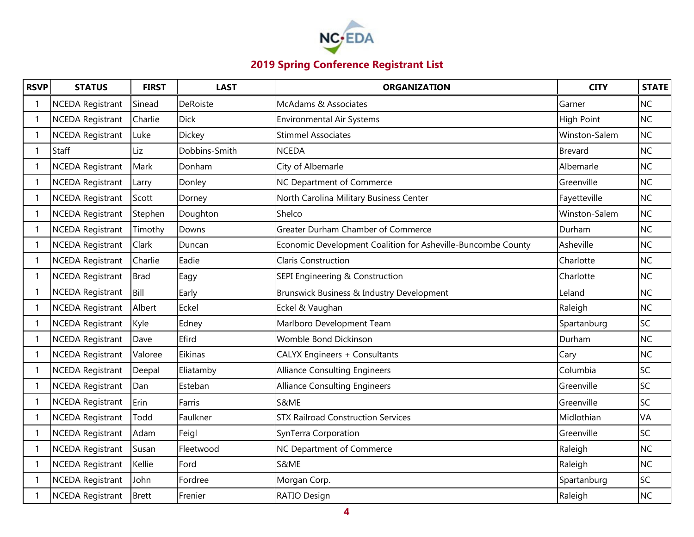

| <b>RSVP</b>              | <b>STATUS</b>           | <b>FIRST</b> | <b>LAST</b>     | <b>ORGANIZATION</b>                                          | <b>CITY</b>       | <b>STATE</b> |
|--------------------------|-------------------------|--------------|-----------------|--------------------------------------------------------------|-------------------|--------------|
|                          | <b>NCEDA Registrant</b> | Sinead       | <b>DeRoiste</b> | McAdams & Associates                                         | Garner            | <b>NC</b>    |
| $\mathbf{1}$             | <b>NCEDA Registrant</b> | Charlie      | <b>Dick</b>     | <b>Environmental Air Systems</b>                             | <b>High Point</b> | <b>NC</b>    |
|                          | <b>NCEDA Registrant</b> | Luke         | <b>Dickey</b>   | <b>Stimmel Associates</b>                                    | Winston-Salem     | <b>NC</b>    |
| $\mathbf{1}$             | Staff                   | Liz          | Dobbins-Smith   | <b>NCEDA</b>                                                 | <b>Brevard</b>    | <b>NC</b>    |
|                          | <b>NCEDA Registrant</b> | Mark         | Donham          | City of Albemarle                                            | Albemarle         | <b>NC</b>    |
|                          | <b>NCEDA Registrant</b> | Larry        | Donley          | NC Department of Commerce                                    | Greenville        | <b>NC</b>    |
| -1                       | <b>NCEDA Registrant</b> | Scott        | Dorney          | North Carolina Military Business Center                      | Fayetteville      | <b>NC</b>    |
| 1                        | <b>NCEDA Registrant</b> | Stephen      | Doughton        | Shelco                                                       | Winston-Salem     | <b>NC</b>    |
|                          | <b>NCEDA Registrant</b> | Timothy      | Downs           | Greater Durham Chamber of Commerce                           | Durham            | <b>NC</b>    |
| -1                       | <b>NCEDA Registrant</b> | Clark        | Duncan          | Economic Development Coalition for Asheville-Buncombe County | Asheville         | <b>NC</b>    |
|                          | <b>NCEDA Registrant</b> | Charlie      | Eadie           | <b>Claris Construction</b>                                   | Charlotte         | <b>NC</b>    |
| -1                       | <b>NCEDA Registrant</b> | <b>Brad</b>  | Eagy            | SEPI Engineering & Construction                              | Charlotte         | <b>NC</b>    |
|                          | <b>NCEDA Registrant</b> | Bill         | Early           | Brunswick Business & Industry Development                    | Leland            | <b>NC</b>    |
| -1                       | <b>NCEDA Registrant</b> | Albert       | Eckel           | Eckel & Vaughan                                              | Raleigh           | <b>NC</b>    |
|                          | <b>NCEDA Registrant</b> | Kyle         | Edney           | Marlboro Development Team                                    | Spartanburg       | SC           |
| $\overline{\phantom{a}}$ | <b>NCEDA Registrant</b> | Dave         | Efird           | Womble Bond Dickinson                                        | Durham            | <b>NC</b>    |
|                          | NCEDA Registrant        | Valoree      | Eikinas         | CALYX Engineers + Consultants                                | Cary              | <b>NC</b>    |
| -1                       | <b>NCEDA Registrant</b> | Deepal       | Eliatamby       | <b>Alliance Consulting Engineers</b>                         | Columbia          | SC           |
|                          | <b>NCEDA Registrant</b> | Dan          | Esteban         | <b>Alliance Consulting Engineers</b>                         | Greenville        | SC           |
| $\mathbf{1}$             | <b>NCEDA Registrant</b> | Erin         | Farris          | S&ME                                                         | Greenville        | SC           |
|                          | <b>NCEDA Registrant</b> | Todd         | Faulkner        | <b>STX Railroad Construction Services</b>                    | Midlothian        | <b>VA</b>    |
|                          | NCEDA Registrant        | Adam         | Feigl           | SynTerra Corporation                                         | Greenville        | <b>SC</b>    |
| $\mathbf 1$              | <b>NCEDA Registrant</b> | Susan        | Fleetwood       | NC Department of Commerce                                    | Raleigh           | <b>NC</b>    |
| -1                       | <b>NCEDA Registrant</b> | Kellie       | Ford            | S&ME                                                         | Raleigh           | <b>NC</b>    |
| -1                       | <b>NCEDA Registrant</b> | John         | Fordree         | Morgan Corp.                                                 | Spartanburg       | SC           |
|                          | <b>NCEDA Registrant</b> | <b>Brett</b> | Frenier         | RATIO Design                                                 | Raleigh           | <b>NC</b>    |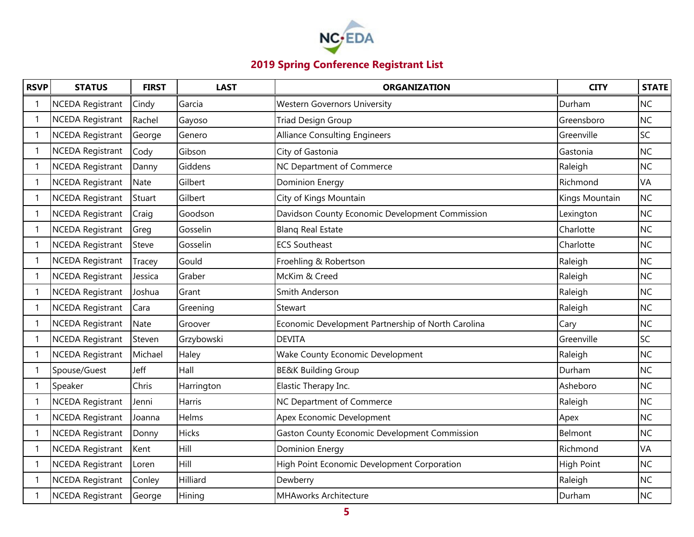

| <b>RSVP</b>  | <b>STATUS</b>           | <b>FIRST</b> | <b>LAST</b>   | <b>ORGANIZATION</b>                                  | <b>CITY</b>       | <b>STATE</b> |
|--------------|-------------------------|--------------|---------------|------------------------------------------------------|-------------------|--------------|
|              | <b>NCEDA Registrant</b> | Cindy        | Garcia        | <b>Western Governors University</b>                  | Durham            | <b>NC</b>    |
| $\mathbf{1}$ | <b>NCEDA Registrant</b> | Rachel       | Gayoso        | <b>Triad Design Group</b>                            | Greensboro        | <b>NC</b>    |
| -1           | <b>NCEDA Registrant</b> | George       | Genero        | <b>Alliance Consulting Engineers</b>                 | Greenville        | SC           |
| -1           | <b>NCEDA Registrant</b> | Cody         | Gibson        | City of Gastonia                                     | Gastonia          | <b>NC</b>    |
|              | <b>NCEDA Registrant</b> | Danny        | Giddens       | NC Department of Commerce                            | Raleigh           | <b>NC</b>    |
| -1           | <b>NCEDA Registrant</b> | Nate         | Gilbert       | Dominion Energy                                      | Richmond          | <b>VA</b>    |
|              | <b>NCEDA Registrant</b> | Stuart       | Gilbert       | City of Kings Mountain                               | Kings Mountain    | <b>NC</b>    |
| -1           | <b>NCEDA Registrant</b> | Craig        | Goodson       | Davidson County Economic Development Commission      | Lexington         | <b>NC</b>    |
|              | <b>NCEDA Registrant</b> | Greg         | Gosselin      | <b>Blang Real Estate</b>                             | Charlotte         | <b>NC</b>    |
| -1           | <b>NCEDA Registrant</b> | Steve        | Gosselin      | <b>ECS Southeast</b>                                 | Charlotte         | <b>NC</b>    |
|              | <b>NCEDA Registrant</b> | Tracey       | Gould         | Froehling & Robertson                                | Raleigh           | <b>NC</b>    |
| -1           | <b>NCEDA Registrant</b> | Jessica      | Graber        | McKim & Creed                                        | Raleigh           | <b>NC</b>    |
|              | <b>NCEDA Registrant</b> | Joshua       | Grant         | Smith Anderson                                       | Raleigh           | <b>NC</b>    |
| -1           | <b>NCEDA Registrant</b> | Cara         | Greening      | Stewart                                              | Raleigh           | <b>NC</b>    |
|              | <b>NCEDA Registrant</b> | <b>Nate</b>  | Groover       | Economic Development Partnership of North Carolina   | Cary              | <b>NC</b>    |
| $\mathbf 1$  | <b>NCEDA Registrant</b> | Steven       | Grzybowski    | <b>DEVITA</b>                                        | Greenville        | <b>SC</b>    |
|              | NCEDA Registrant        | Michael      | Haley         | Wake County Economic Development                     | Raleigh           | <b>NC</b>    |
|              | Spouse/Guest            | Jeff         | Hall          | <b>BE&amp;K Building Group</b>                       | Durham            | <b>NC</b>    |
|              | Speaker                 | Chris        | Harrington    | Elastic Therapy Inc.                                 | Asheboro          | <b>NC</b>    |
| -1           | NCEDA Registrant        | Jenni        | <b>Harris</b> | NC Department of Commerce                            | Raleigh           | <b>NC</b>    |
|              | <b>NCEDA Registrant</b> | Joanna       | Helms         | Apex Economic Development                            | Apex              | <b>NC</b>    |
| -1           | <b>NCEDA Registrant</b> | Donny        | <b>Hicks</b>  | <b>Gaston County Economic Development Commission</b> | Belmont           | <b>NC</b>    |
|              | <b>NCEDA Registrant</b> | Kent         | Hill          | <b>Dominion Energy</b>                               | Richmond          | <b>VA</b>    |
| $\mathbf{1}$ | <b>NCEDA Registrant</b> | Loren        | Hill          | High Point Economic Development Corporation          | <b>High Point</b> | <b>NC</b>    |
|              | <b>NCEDA Registrant</b> | Conley       | Hilliard      | Dewberry                                             | Raleigh           | <b>NC</b>    |
|              | <b>NCEDA Registrant</b> | George       | Hining        | MHAworks Architecture                                | Durham            | <b>NC</b>    |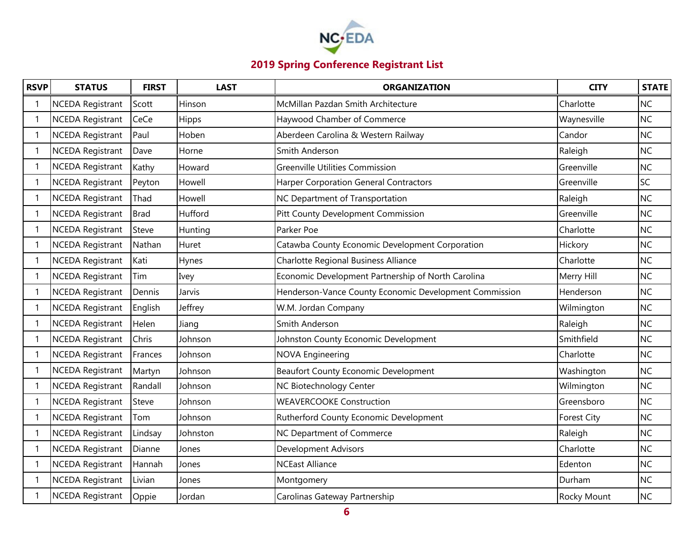

| <b>RSVP</b>  | <b>STATUS</b>           | <b>FIRST</b> | <b>LAST</b> | <b>ORGANIZATION</b>                                    | <b>CITY</b>        | <b>STATE</b> |
|--------------|-------------------------|--------------|-------------|--------------------------------------------------------|--------------------|--------------|
|              | <b>NCEDA Registrant</b> | Scott        | Hinson      | McMillan Pazdan Smith Architecture                     | Charlotte          | <b>NC</b>    |
| $\mathbf{1}$ | <b>NCEDA Registrant</b> | CeCe         | Hipps       | Haywood Chamber of Commerce                            | Waynesville        | <b>NC</b>    |
| -1           | <b>NCEDA Registrant</b> | Paul         | Hoben       | Aberdeen Carolina & Western Railway                    | Candor             | <b>NC</b>    |
| -1           | <b>NCEDA Registrant</b> | Dave         | Horne       | Smith Anderson                                         | Raleigh            | <b>NC</b>    |
|              | <b>NCEDA Registrant</b> | Kathy        | Howard      | Greenville Utilities Commission                        | Greenville         | <b>NC</b>    |
| -1           | <b>NCEDA Registrant</b> | Peyton       | Howell      | Harper Corporation General Contractors                 | Greenville         | <b>SC</b>    |
|              | <b>NCEDA Registrant</b> | Thad         | Howell      | NC Department of Transportation                        | Raleigh            | <b>NC</b>    |
| -1           | <b>NCEDA Registrant</b> | <b>Brad</b>  | Hufford     | Pitt County Development Commission                     | Greenville         | <b>NC</b>    |
|              | <b>NCEDA Registrant</b> | Steve        | Hunting     | Parker Poe                                             | Charlotte          | <b>NC</b>    |
| -1           | <b>NCEDA Registrant</b> | Nathan       | Huret       | Catawba County Economic Development Corporation        | Hickory            | <b>NC</b>    |
|              | <b>NCEDA Registrant</b> | Kati         | Hynes       | Charlotte Regional Business Alliance                   | Charlotte          | <b>NC</b>    |
| -1           | <b>NCEDA Registrant</b> | Tim          | Ivey        | Economic Development Partnership of North Carolina     | Merry Hill         | <b>NC</b>    |
|              | <b>NCEDA Registrant</b> | Dennis       | Jarvis      | Henderson-Vance County Economic Development Commission | Henderson          | <b>NC</b>    |
| $\mathbf 1$  | <b>NCEDA Registrant</b> | English      | Jeffrey     | W.M. Jordan Company                                    | Wilmington         | <b>NC</b>    |
|              | <b>NCEDA Registrant</b> | Helen        | Jiang       | Smith Anderson                                         | Raleigh            | <b>NC</b>    |
| $\mathbf 1$  | <b>NCEDA Registrant</b> | Chris        | Johnson     | Johnston County Economic Development                   | Smithfield         | <b>NC</b>    |
|              | <b>NCEDA Registrant</b> | Frances      | Johnson     | <b>NOVA Engineering</b>                                | Charlotte          | <b>NC</b>    |
| -1           | <b>NCEDA Registrant</b> | Martyn       | Johnson     | <b>Beaufort County Economic Development</b>            | Washington         | <b>NC</b>    |
|              | <b>NCEDA Registrant</b> | Randall      | Johnson     | NC Biotechnology Center                                | Wilmington         | <b>NC</b>    |
| $\mathbf 1$  | <b>NCEDA Registrant</b> | Steve        | Johnson     | <b>WEAVERCOOKE Construction</b>                        | Greensboro         | <b>NC</b>    |
|              | <b>NCEDA Registrant</b> | Tom          | Johnson     | Rutherford County Economic Development                 | <b>Forest City</b> | <b>NC</b>    |
| -1           | <b>NCEDA Registrant</b> | Lindsay      | Johnston    | NC Department of Commerce                              | Raleigh            | <b>NC</b>    |
| $\mathbf 1$  | <b>NCEDA Registrant</b> | Dianne       | Jones       | <b>Development Advisors</b>                            | Charlotte          | <b>NC</b>    |
| $\mathbf{1}$ | <b>NCEDA Registrant</b> | Hannah       | Jones       | <b>NCEast Alliance</b>                                 | Edenton            | <b>NC</b>    |
|              | <b>NCEDA Registrant</b> | Livian       | Jones       | Montgomery                                             | Durham             | <b>NC</b>    |
|              | <b>NCEDA Registrant</b> | Oppie        | Jordan      | Carolinas Gateway Partnership                          | Rocky Mount        | <b>NC</b>    |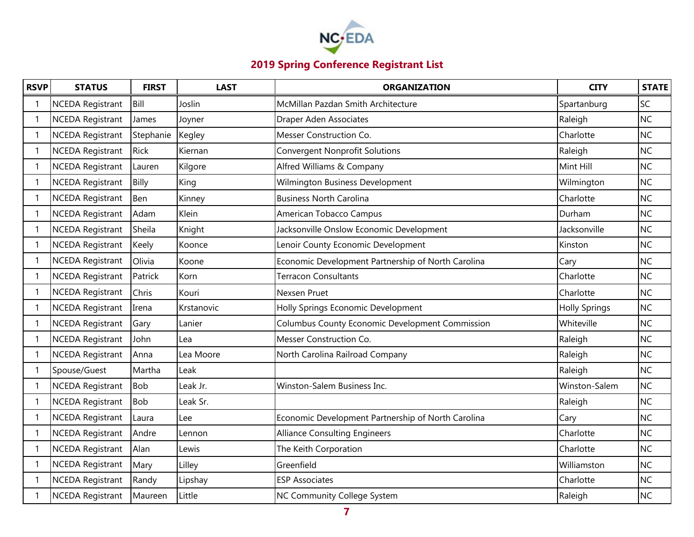

| <b>RSVP</b>              | <b>STATUS</b>           | <b>FIRST</b> | <b>LAST</b> | <b>ORGANIZATION</b>                                | <b>CITY</b>          | <b>STATE</b> |
|--------------------------|-------------------------|--------------|-------------|----------------------------------------------------|----------------------|--------------|
|                          | <b>NCEDA Registrant</b> | Bill         | Joslin      | McMillan Pazdan Smith Architecture                 | Spartanburg          | <b>SC</b>    |
| $\mathbf{1}$             | <b>NCEDA Registrant</b> | James        | Joyner      | Draper Aden Associates                             | Raleigh              | <b>NC</b>    |
| -1                       | <b>NCEDA Registrant</b> | Stephanie    | Kegley      | Messer Construction Co.                            | Charlotte            | <b>NC</b>    |
| $\mathbf 1$              | <b>NCEDA Registrant</b> | <b>Rick</b>  | Kiernan     | <b>Convergent Nonprofit Solutions</b>              | Raleigh              | <b>NC</b>    |
|                          | <b>NCEDA Registrant</b> | Lauren       | Kilgore     | Alfred Williams & Company                          | Mint Hill            | <b>NC</b>    |
|                          | <b>NCEDA Registrant</b> | Billy        | King        | Wilmington Business Development                    | Wilmington           | <b>NC</b>    |
| -1                       | <b>NCEDA Registrant</b> | Ben          | Kinney      | <b>Business North Carolina</b>                     | Charlotte            | <b>NC</b>    |
| 1                        | <b>NCEDA Registrant</b> | Adam         | Klein       | American Tobacco Campus                            | Durham               | <b>NC</b>    |
|                          | <b>NCEDA Registrant</b> | Sheila       | Knight      | Jacksonville Onslow Economic Development           | Jacksonville         | <b>NC</b>    |
| -1                       | <b>NCEDA Registrant</b> | Keely        | Koonce      | Lenoir County Economic Development                 | Kinston              | <b>NC</b>    |
|                          | <b>NCEDA Registrant</b> | Olivia       | Koone       | Economic Development Partnership of North Carolina | Cary                 | <b>NC</b>    |
| -1                       | <b>NCEDA Registrant</b> | Patrick      | Korn        | <b>Terracon Consultants</b>                        | Charlotte            | <b>NC</b>    |
|                          | <b>NCEDA Registrant</b> | Chris        | Kouri       | Nexsen Pruet                                       | Charlotte            | <b>NC</b>    |
| -1                       | <b>NCEDA Registrant</b> | Irena        | Krstanovic  | Holly Springs Economic Development                 | <b>Holly Springs</b> | <b>NC</b>    |
|                          | <b>NCEDA Registrant</b> | Gary         | Lanier      | Columbus County Economic Development Commission    | Whiteville           | <b>NC</b>    |
| $\overline{\phantom{a}}$ | <b>NCEDA Registrant</b> | John         | Lea         | Messer Construction Co.                            | Raleigh              | <b>NC</b>    |
|                          | NCEDA Registrant        | Anna         | Lea Moore   | North Carolina Railroad Company                    | Raleigh              | <b>NC</b>    |
| $\overline{\phantom{a}}$ | Spouse/Guest            | Martha       | Leak        |                                                    | Raleigh              | <b>NC</b>    |
|                          | <b>NCEDA Registrant</b> | <b>Bob</b>   | Leak Jr.    | Winston-Salem Business Inc.                        | Winston-Salem        | <b>NC</b>    |
| $\overline{\phantom{a}}$ | <b>NCEDA Registrant</b> | <b>Bob</b>   | Leak Sr.    |                                                    | Raleigh              | <b>NC</b>    |
|                          | <b>NCEDA Registrant</b> | Laura        | Lee         | Economic Development Partnership of North Carolina | Cary                 | <b>NC</b>    |
|                          | <b>NCEDA Registrant</b> | Andre        | Lennon      | <b>Alliance Consulting Engineers</b>               | Charlotte            | <b>NC</b>    |
| $\mathbf 1$              | <b>NCEDA Registrant</b> | Alan         | Lewis       | The Keith Corporation                              | Charlotte            | <b>NC</b>    |
| -1                       | <b>NCEDA Registrant</b> | Mary         | Lilley      | Greenfield                                         | Williamston          | <b>NC</b>    |
| -1                       | <b>NCEDA Registrant</b> | Randy        | Lipshay     | <b>ESP Associates</b>                              | Charlotte            | <b>NC</b>    |
|                          | <b>NCEDA Registrant</b> | Maureen      | Little      | NC Community College System                        | Raleigh              | <b>NC</b>    |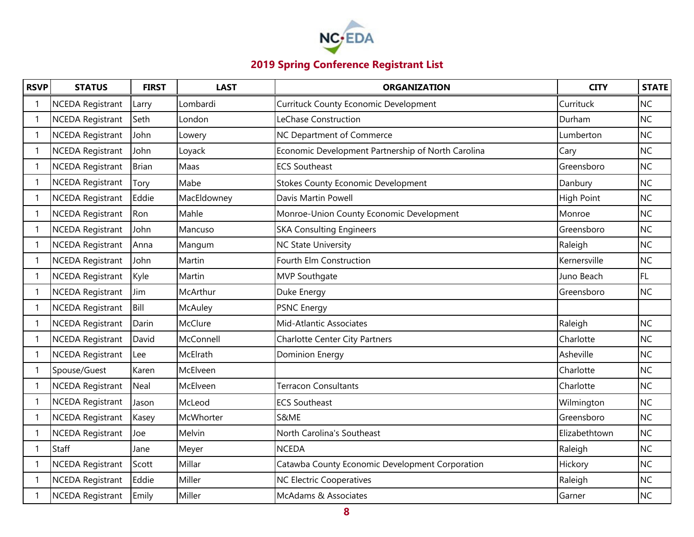

| <b>RSVP</b>              | <b>STATUS</b>           | <b>FIRST</b> | <b>LAST</b> | <b>ORGANIZATION</b>                                | <b>CITY</b>       | <b>STATE</b> |
|--------------------------|-------------------------|--------------|-------------|----------------------------------------------------|-------------------|--------------|
| -1                       | <b>NCEDA Registrant</b> | Larry        | Lombardi    | <b>Currituck County Economic Development</b>       | Currituck         | <b>NC</b>    |
| $\mathbf{1}$             | <b>NCEDA Registrant</b> | Seth         | London      | LeChase Construction                               | Durham            | <b>NC</b>    |
| -1                       | <b>NCEDA Registrant</b> | John         | Lowery      | NC Department of Commerce                          | Lumberton         | <b>NC</b>    |
| $\mathbf 1$              | <b>NCEDA Registrant</b> | John         | Loyack      | Economic Development Partnership of North Carolina | Cary              | <b>NC</b>    |
|                          | <b>NCEDA Registrant</b> | <b>Brian</b> | Maas        | <b>ECS Southeast</b>                               | Greensboro        | <b>NC</b>    |
| -1                       | <b>NCEDA Registrant</b> | Tory         | Mabe        | <b>Stokes County Economic Development</b>          | Danbury           | <b>NC</b>    |
| -1                       | <b>NCEDA Registrant</b> | Eddie        | MacEldowney | Davis Martin Powell                                | <b>High Point</b> | <b>NC</b>    |
| 1                        | <b>NCEDA Registrant</b> | Ron          | Mahle       | Monroe-Union County Economic Development           | Monroe            | <b>NC</b>    |
|                          | <b>NCEDA Registrant</b> | John         | Mancuso     | <b>SKA Consulting Engineers</b>                    | Greensboro        | <b>NC</b>    |
| -1                       | <b>NCEDA Registrant</b> | Anna         | Mangum      | <b>NC State University</b>                         | Raleigh           | <b>NC</b>    |
| -1                       | <b>NCEDA Registrant</b> | John         | Martin      | Fourth Elm Construction                            | Kernersville      | <b>NC</b>    |
| -1                       | <b>NCEDA Registrant</b> | Kyle         | Martin      | MVP Southgate                                      | Juno Beach        | FL.          |
|                          | <b>NCEDA Registrant</b> | Jim          | McArthur    | Duke Energy                                        | Greensboro        | <b>NC</b>    |
| -1                       | <b>NCEDA Registrant</b> | Bill         | McAuley     | <b>PSNC Energy</b>                                 |                   |              |
|                          | <b>NCEDA Registrant</b> | Darin        | McClure     | Mid-Atlantic Associates                            | Raleigh           | <b>NC</b>    |
| $\overline{\phantom{a}}$ | <b>NCEDA Registrant</b> | David        | McConnell   | <b>Charlotte Center City Partners</b>              | Charlotte         | <b>NC</b>    |
|                          | NCEDA Registrant        | Lee          | McElrath    | <b>Dominion Energy</b>                             | Asheville         | <b>NC</b>    |
| $\mathbf 1$              | Spouse/Guest            | Karen        | McElveen    |                                                    | Charlotte         | <b>NC</b>    |
|                          | <b>NCEDA Registrant</b> | Neal         | McElveen    | <b>Terracon Consultants</b>                        | Charlotte         | <b>NC</b>    |
| 1                        | <b>NCEDA Registrant</b> | Jason        | McLeod      | <b>ECS Southeast</b>                               | Wilmington        | <b>NC</b>    |
|                          | <b>NCEDA Registrant</b> | Kasey        | McWhorter   | S&ME                                               | Greensboro        | <b>NC</b>    |
|                          | <b>NCEDA Registrant</b> | Joe          | Melvin      | North Carolina's Southeast                         | Elizabethtown     | <b>NC</b>    |
| $\mathbf 1$              | Staff                   | Jane         | Meyer       | <b>NCEDA</b>                                       | Raleigh           | <b>NC</b>    |
| -1                       | <b>NCEDA Registrant</b> | Scott        | Millar      | Catawba County Economic Development Corporation    | Hickory           | <b>NC</b>    |
| -1                       | <b>NCEDA Registrant</b> | Eddie        | Miller      | <b>NC Electric Cooperatives</b>                    | Raleigh           | <b>NC</b>    |
|                          | <b>NCEDA Registrant</b> | Emily        | Miller      | McAdams & Associates                               | Garner            | <b>NC</b>    |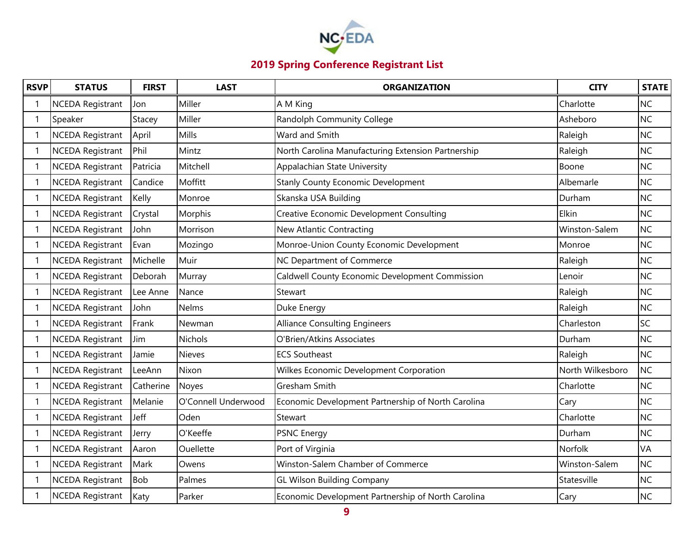

| <b>RSVP</b> | <b>STATUS</b>           | <b>FIRST</b> | <b>LAST</b>         | <b>ORGANIZATION</b>                                | <b>CITY</b>      | <b>STATE</b> |
|-------------|-------------------------|--------------|---------------------|----------------------------------------------------|------------------|--------------|
|             | <b>NCEDA Registrant</b> | Jon          | Miller              | A M King                                           | Charlotte        | <b>NC</b>    |
|             | Speaker                 | Stacey       | Miller              | Randolph Community College                         | Asheboro         | <b>NC</b>    |
|             | <b>NCEDA Registrant</b> | April        | Mills               | Ward and Smith                                     | Raleigh          | <b>NC</b>    |
|             | <b>NCEDA Registrant</b> | Phil         | Mintz               | North Carolina Manufacturing Extension Partnership | Raleigh          | <b>NC</b>    |
|             | <b>NCEDA Registrant</b> | Patricia     | Mitchell            | Appalachian State University                       | Boone            | <b>NC</b>    |
|             | <b>NCEDA Registrant</b> | Candice      | Moffitt             | <b>Stanly County Economic Development</b>          | Albemarle        | <b>NC</b>    |
|             | <b>NCEDA Registrant</b> | Kelly        | Monroe              | Skanska USA Building                               | Durham           | <b>NC</b>    |
|             | <b>NCEDA Registrant</b> | Crystal      | Morphis             | <b>Creative Economic Development Consulting</b>    | Elkin            | <b>NC</b>    |
|             | <b>NCEDA Registrant</b> | John         | Morrison            | New Atlantic Contracting                           | Winston-Salem    | <b>NC</b>    |
|             | <b>NCEDA Registrant</b> | Evan         | Mozingo             | Monroe-Union County Economic Development           | Monroe           | <b>NC</b>    |
|             | <b>NCEDA Registrant</b> | Michelle     | Muir                | NC Department of Commerce                          | Raleigh          | <b>NC</b>    |
|             | <b>NCEDA Registrant</b> | Deborah      | Murray              | Caldwell County Economic Development Commission    | Lenoir           | <b>NC</b>    |
|             | <b>NCEDA Registrant</b> | Lee Anne     | Nance               | Stewart                                            | Raleigh          | <b>NC</b>    |
|             | <b>NCEDA Registrant</b> | John         | <b>Nelms</b>        | Duke Energy                                        | Raleigh          | <b>NC</b>    |
|             | <b>NCEDA Registrant</b> | Frank        | Newman              | <b>Alliance Consulting Engineers</b>               | Charleston       | <b>SC</b>    |
|             | <b>NCEDA Registrant</b> | Jim          | <b>Nichols</b>      | O'Brien/Atkins Associates                          | Durham           | <b>NC</b>    |
|             | NCEDA Registrant        | Jamie        | <b>Nieves</b>       | <b>ECS Southeast</b>                               | Raleigh          | <b>NC</b>    |
|             | <b>NCEDA Registrant</b> | LeeAnn       | Nixon               | Wilkes Economic Development Corporation            | North Wilkesboro | <b>NC</b>    |
|             | <b>NCEDA Registrant</b> | Catherine    | <b>Noyes</b>        | Gresham Smith                                      | Charlotte        | <b>NC</b>    |
|             | <b>NCEDA Registrant</b> | Melanie      | O'Connell Underwood | Economic Development Partnership of North Carolina | Cary             | <b>NC</b>    |
|             | <b>NCEDA Registrant</b> | Jeff         | Oden                | Stewart                                            | Charlotte        | <b>NC</b>    |
|             | <b>NCEDA Registrant</b> | Jerry        | O'Keeffe            | <b>PSNC Energy</b>                                 | Durham           | <b>NC</b>    |
|             | <b>NCEDA Registrant</b> | Aaron        | <b>Ouellette</b>    | Port of Virginia                                   | Norfolk          | <b>VA</b>    |
|             | <b>NCEDA Registrant</b> | Mark         | Owens               | Winston-Salem Chamber of Commerce                  | Winston-Salem    | <b>NC</b>    |
|             | <b>NCEDA Registrant</b> | <b>Bob</b>   | Palmes              | <b>GL Wilson Building Company</b>                  | Statesville      | <b>NC</b>    |
|             | <b>NCEDA Registrant</b> | Katy         | Parker              | Economic Development Partnership of North Carolina | Cary             | <b>NC</b>    |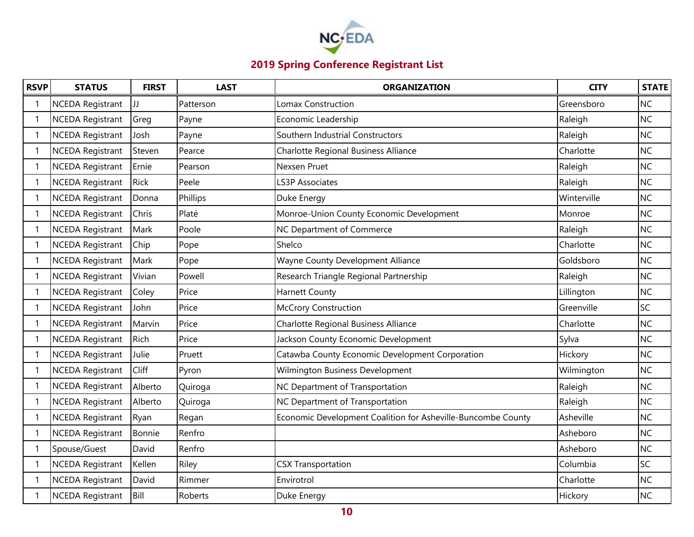

| <b>RSVP</b>              | <b>STATUS</b>           | <b>FIRST</b> | <b>LAST</b> | <b>ORGANIZATION</b>                                          | <b>CITY</b> | <b>STATE</b> |
|--------------------------|-------------------------|--------------|-------------|--------------------------------------------------------------|-------------|--------------|
| -1                       | <b>NCEDA Registrant</b> | JJ           | Patterson   | Lomax Construction                                           | Greensboro  | <b>NC</b>    |
| $\mathbf{1}$             | <b>NCEDA Registrant</b> | Greg         | Payne       | Economic Leadership                                          | Raleigh     | <b>NC</b>    |
| $\mathbf 1$              | <b>NCEDA Registrant</b> | Josh         | Payne       | Southern Industrial Constructors                             | Raleigh     | <b>NC</b>    |
| $\mathbf 1$              | <b>NCEDA Registrant</b> | Steven       | Pearce      | Charlotte Regional Business Alliance                         | Charlotte   | <b>NC</b>    |
|                          | <b>NCEDA Registrant</b> | Ernie        | Pearson     | Nexsen Pruet                                                 | Raleigh     | <b>NC</b>    |
| -1                       | <b>NCEDA Registrant</b> | Rick         | Peele       | <b>LS3P Associates</b>                                       | Raleigh     | <b>NC</b>    |
| -1                       | <b>NCEDA Registrant</b> | Donna        | Phillips    | Duke Energy                                                  | Winterville | <b>NC</b>    |
| $\mathbf 1$              | <b>NCEDA Registrant</b> | Chris        | Platé       | Monroe-Union County Economic Development                     | Monroe      | <b>NC</b>    |
| $\overline{\phantom{a}}$ | <b>NCEDA Registrant</b> | Mark         | Poole       | NC Department of Commerce                                    | Raleigh     | <b>NC</b>    |
| -1                       | <b>NCEDA Registrant</b> | Chip         | Pope        | Shelco                                                       | Charlotte   | <b>NC</b>    |
| -1                       | <b>NCEDA Registrant</b> | Mark         | Pope        | Wayne County Development Alliance                            | Goldsboro   | <b>NC</b>    |
| -1                       | <b>NCEDA Registrant</b> | Vivian       | Powell      | Research Triangle Regional Partnership                       | Raleigh     | <b>NC</b>    |
|                          | <b>NCEDA Registrant</b> | Coley        | Price       | <b>Harnett County</b>                                        | Lillington  | <b>NC</b>    |
| -1                       | <b>NCEDA Registrant</b> | John         | Price       | <b>McCrory Construction</b>                                  | Greenville  | SC           |
| -1                       | <b>NCEDA Registrant</b> | Marvin       | Price       | Charlotte Regional Business Alliance                         | Charlotte   | <b>NC</b>    |
| -1                       | <b>NCEDA Registrant</b> | Rich         | Price       | Jackson County Economic Development                          | Sylva       | <b>NC</b>    |
| -1                       | <b>NCEDA Registrant</b> | Julie        | Pruett      | Catawba County Economic Development Corporation              | Hickory     | <b>NC</b>    |
|                          | <b>NCEDA Registrant</b> | Cliff        | Pyron       | Wilmington Business Development                              | Wilmington  | <b>NC</b>    |
| $\overline{\phantom{a}}$ | <b>NCEDA Registrant</b> | Alberto      | Quiroga     | NC Department of Transportation                              | Raleigh     | <b>NC</b>    |
| $\mathbf{1}$             | <b>NCEDA Registrant</b> | Alberto      | Quiroga     | NC Department of Transportation                              | Raleigh     | <b>NC</b>    |
| -1                       | <b>NCEDA Registrant</b> | Ryan         | Regan       | Economic Development Coalition for Asheville-Buncombe County | Asheville   | <b>NC</b>    |
| -1                       | NCEDA Registrant        | Bonnie       | Renfro      |                                                              | Asheboro    | <b>NC</b>    |
| -1                       | Spouse/Guest            | David        | Renfro      |                                                              | Asheboro    | <b>NC</b>    |
| -1                       | <b>NCEDA Registrant</b> | Kellen       | Riley       | <b>CSX Transportation</b>                                    | Columbia    | <b>SC</b>    |
|                          | <b>NCEDA Registrant</b> | David        | Rimmer      | Envirotrol                                                   | Charlotte   | <b>NC</b>    |
|                          | <b>NCEDA Registrant</b> | Bill         | Roberts     | Duke Energy                                                  | Hickory     | <b>NC</b>    |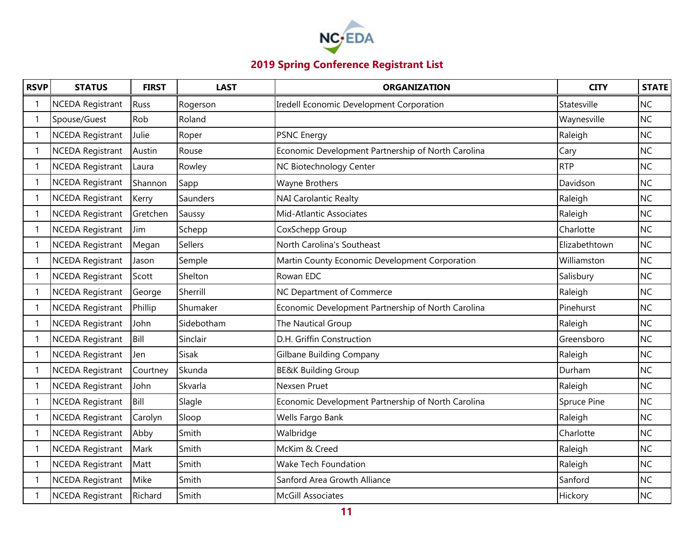

| <b>RSVP</b>              | <b>STATUS</b>           | <b>FIRST</b> | <b>LAST</b> | <b>ORGANIZATION</b>                                | <b>CITY</b>   | <b>STATE</b> |
|--------------------------|-------------------------|--------------|-------------|----------------------------------------------------|---------------|--------------|
|                          | <b>NCEDA Registrant</b> | Russ         | Rogerson    | Iredell Economic Development Corporation           | Statesville   | <b>NC</b>    |
| $\mathbf{1}$             | Spouse/Guest            | Rob          | Roland      |                                                    | Waynesville   | <b>NC</b>    |
| -1                       | <b>NCEDA Registrant</b> | Julie        | Roper       | <b>PSNC Energy</b>                                 | Raleigh       | <b>NC</b>    |
| $\mathbf 1$              | <b>NCEDA Registrant</b> | Austin       | Rouse       | Economic Development Partnership of North Carolina | Cary          | <b>NC</b>    |
|                          | <b>NCEDA Registrant</b> | Laura        | Rowley      | NC Biotechnology Center                            | <b>RTP</b>    | <b>NC</b>    |
| -1                       | <b>NCEDA Registrant</b> | Shannon      | Sapp        | Wayne Brothers                                     | Davidson      | <b>NC</b>    |
| -1                       | <b>NCEDA Registrant</b> | Kerry        | Saunders    | <b>NAI Carolantic Realty</b>                       | Raleigh       | <b>NC</b>    |
| 1                        | <b>NCEDA Registrant</b> | Gretchen     | Saussy      | Mid-Atlantic Associates                            | Raleigh       | <b>NC</b>    |
|                          | <b>NCEDA Registrant</b> | Jim          | Schepp      | CoxSchepp Group                                    | Charlotte     | <b>NC</b>    |
| -1                       | <b>NCEDA Registrant</b> | Megan        | Sellers     | North Carolina's Southeast                         | Elizabethtown | <b>NC</b>    |
|                          | <b>NCEDA Registrant</b> | Jason        | Semple      | Martin County Economic Development Corporation     | Williamston   | <b>NC</b>    |
| -1                       | <b>NCEDA Registrant</b> | Scott        | Shelton     | Rowan EDC                                          | Salisbury     | <b>NC</b>    |
|                          | <b>NCEDA Registrant</b> | George       | Sherrill    | NC Department of Commerce                          | Raleigh       | <b>NC</b>    |
| -1                       | <b>NCEDA Registrant</b> | Phillip      | Shumaker    | Economic Development Partnership of North Carolina | Pinehurst     | <b>NC</b>    |
| $\mathbf 1$              | <b>NCEDA Registrant</b> | John         | Sidebotham  | The Nautical Group                                 | Raleigh       | <b>NC</b>    |
| 1                        | <b>NCEDA Registrant</b> | Bill         | Sinclair    | D.H. Griffin Construction                          | Greensboro    | <b>NC</b>    |
|                          | <b>NCEDA Registrant</b> | Jen          | Sisak       | <b>Gilbane Building Company</b>                    | Raleigh       | <b>NC</b>    |
|                          | <b>NCEDA Registrant</b> | Courtney     | Skunda      | <b>BE&amp;K Building Group</b>                     | Durham        | <b>NC</b>    |
|                          | <b>NCEDA Registrant</b> | John         | Skvarla     | Nexsen Pruet                                       | Raleigh       | <b>NC</b>    |
| $\mathbf{1}$             | <b>NCEDA Registrant</b> | Bill         | Slagle      | Economic Development Partnership of North Carolina | Spruce Pine   | <b>NC</b>    |
|                          | <b>NCEDA Registrant</b> | Carolyn      | Sloop       | Wells Fargo Bank                                   | Raleigh       | <b>NC</b>    |
| -1                       | <b>NCEDA Registrant</b> | Abby         | Smith       | Walbridge                                          | Charlotte     | <b>NC</b>    |
| $\overline{\phantom{a}}$ | <b>NCEDA Registrant</b> | Mark         | Smith       | McKim & Creed                                      | Raleigh       | <b>NC</b>    |
| $\mathbf{1}$             | <b>NCEDA Registrant</b> | Matt         | Smith       | Wake Tech Foundation                               | Raleigh       | <b>NC</b>    |
|                          | NCEDA Registrant        | Mike         | Smith       | Sanford Area Growth Alliance                       | Sanford       | <b>NC</b>    |
|                          | <b>NCEDA Registrant</b> | Richard      | Smith       | <b>McGill Associates</b>                           | Hickory       | <b>NC</b>    |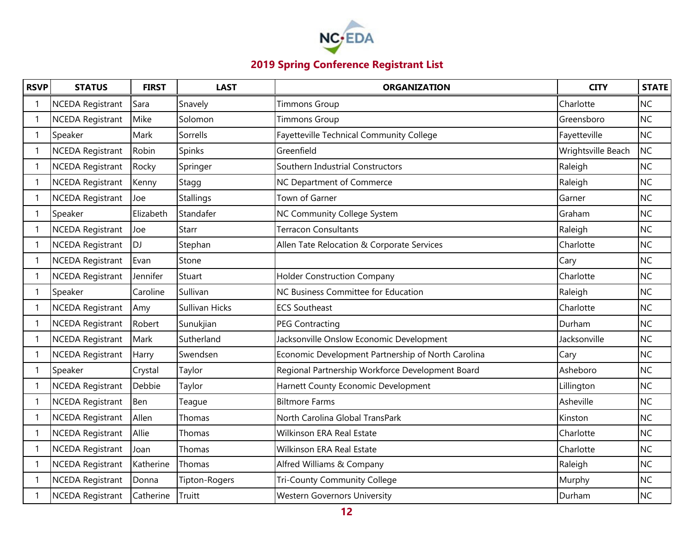

| <b>RSVP</b>  | <b>STATUS</b>           | <b>FIRST</b> | <b>LAST</b>    | <b>ORGANIZATION</b>                                | <b>CITY</b>        | <b>STATE</b> |
|--------------|-------------------------|--------------|----------------|----------------------------------------------------|--------------------|--------------|
|              | <b>NCEDA Registrant</b> | Sara         | Snavely        | <b>Timmons Group</b>                               | Charlotte          | <b>NC</b>    |
| $\mathbf{1}$ | <b>NCEDA Registrant</b> | Mike         | Solomon        | <b>Timmons Group</b>                               | Greensboro         | <b>NC</b>    |
| 1            | Speaker                 | Mark         | Sorrells       | Fayetteville Technical Community College           | Fayetteville       | <b>NC</b>    |
| 1            | <b>NCEDA Registrant</b> | Robin        | Spinks         | Greenfield                                         | Wrightsville Beach | <b>NC</b>    |
|              | <b>NCEDA Registrant</b> | Rocky        | Springer       | Southern Industrial Constructors                   | Raleigh            | <b>NC</b>    |
| 1            | <b>NCEDA Registrant</b> | Kenny        | Stagg          | NC Department of Commerce                          | Raleigh            | <b>NC</b>    |
| -1           | <b>NCEDA Registrant</b> | Joe          | Stallings      | Town of Garner                                     | Garner             | <b>NC</b>    |
| $\mathbf{1}$ | Speaker                 | Elizabeth    | Standafer      | NC Community College System                        | Graham             | <b>NC</b>    |
|              | <b>NCEDA Registrant</b> | Joe          | Starr          | <b>Terracon Consultants</b>                        | Raleigh            | <b>NC</b>    |
| -1           | <b>NCEDA Registrant</b> | <b>DJ</b>    | Stephan        | Allen Tate Relocation & Corporate Services         | Charlotte          | <b>NC</b>    |
| $\mathbf 1$  | <b>NCEDA Registrant</b> | Evan         | Stone          |                                                    | Cary               | <b>NC</b>    |
| -1           | <b>NCEDA Registrant</b> | Jennifer     | Stuart         | <b>Holder Construction Company</b>                 | Charlotte          | <b>NC</b>    |
|              | Speaker                 | Caroline     | Sullivan       | NC Business Committee for Education                | Raleigh            | <b>NC</b>    |
| -1           | <b>NCEDA Registrant</b> | Amy          | Sullivan Hicks | <b>ECS Southeast</b>                               | Charlotte          | <b>NC</b>    |
| $\mathbf 1$  | <b>NCEDA Registrant</b> | Robert       | Sunukjian      | <b>PEG Contracting</b>                             | Durham             | <b>NC</b>    |
| $\mathbf 1$  | <b>NCEDA Registrant</b> | Mark         | Sutherland     | Jacksonville Onslow Economic Development           | Jacksonville       | <b>NC</b>    |
|              | <b>NCEDA Registrant</b> | Harry        | Swendsen       | Economic Development Partnership of North Carolina | Cary               | <b>NC</b>    |
| $\mathbf 1$  | Speaker                 | Crystal      | Taylor         | Regional Partnership Workforce Development Board   | Asheboro           | <b>NC</b>    |
|              | <b>NCEDA Registrant</b> | Debbie       | Taylor         | Harnett County Economic Development                | Lillington         | <b>NC</b>    |
| 1            | <b>NCEDA Registrant</b> | Ben          | Teague         | <b>Biltmore Farms</b>                              | Asheville          | <b>NC</b>    |
|              | <b>NCEDA Registrant</b> | Allen        | Thomas         | North Carolina Global TransPark                    | Kinston            | <b>NC</b>    |
| $\mathbf 1$  | <b>NCEDA Registrant</b> | Allie        | Thomas         | Wilkinson ERA Real Estate                          | Charlotte          | <b>NC</b>    |
|              | <b>NCEDA Registrant</b> | Joan         | Thomas         | Wilkinson ERA Real Estate                          | Charlotte          | <b>NC</b>    |
| $\mathbf{1}$ | <b>NCEDA Registrant</b> | Katherine    | Thomas         | Alfred Williams & Company                          | Raleigh            | <b>NC</b>    |
|              | <b>NCEDA Registrant</b> | Donna        | Tipton-Rogers  | Tri-County Community College                       | Murphy             | <b>NC</b>    |
|              | <b>NCEDA Registrant</b> | Catherine    | Truitt         | <b>Western Governors University</b>                | Durham             | <b>NC</b>    |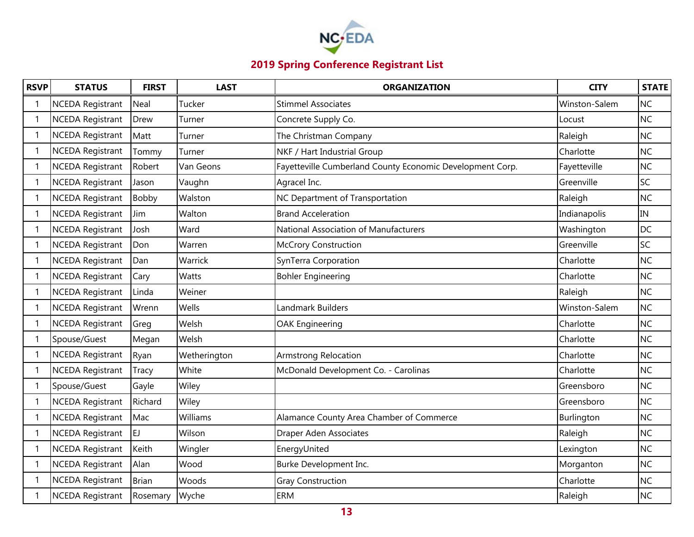

| <b>RSVP</b> | <b>STATUS</b>           | <b>FIRST</b> | <b>LAST</b>  | <b>ORGANIZATION</b>                                       | <b>CITY</b>   | <b>STATE</b> |
|-------------|-------------------------|--------------|--------------|-----------------------------------------------------------|---------------|--------------|
|             | <b>NCEDA Registrant</b> | Neal         | Tucker       | <b>Stimmel Associates</b>                                 | Winston-Salem | <b>NC</b>    |
|             | <b>NCEDA Registrant</b> | Drew         | Turner       | Concrete Supply Co.                                       | Locust        | <b>NC</b>    |
|             | <b>NCEDA Registrant</b> | Matt         | Turner       | The Christman Company                                     | Raleigh       | <b>NC</b>    |
|             | <b>NCEDA Registrant</b> | Tommy        | Turner       | NKF / Hart Industrial Group                               | Charlotte     | <b>NC</b>    |
|             | <b>NCEDA Registrant</b> | Robert       | Van Geons    | Fayetteville Cumberland County Economic Development Corp. | Fayetteville  | <b>NC</b>    |
|             | <b>NCEDA Registrant</b> | Jason        | Vaughn       | Agracel Inc.                                              | Greenville    | SC           |
|             | <b>NCEDA Registrant</b> | Bobby        | Walston      | NC Department of Transportation                           | Raleigh       | <b>NC</b>    |
|             | <b>NCEDA Registrant</b> | Jim          | Walton       | <b>Brand Acceleration</b>                                 | Indianapolis  | IN           |
|             | <b>NCEDA Registrant</b> | Josh         | Ward         | National Association of Manufacturers                     | Washington    | <b>DC</b>    |
|             | <b>NCEDA Registrant</b> | Don          | Warren       | <b>McCrory Construction</b>                               | Greenville    | SC           |
|             | <b>NCEDA Registrant</b> | Dan          | Warrick      | SynTerra Corporation                                      | Charlotte     | <b>NC</b>    |
|             | <b>NCEDA Registrant</b> | Cary         | Watts        | <b>Bohler Engineering</b>                                 | Charlotte     | <b>NC</b>    |
|             | <b>NCEDA Registrant</b> | Linda        | Weiner       |                                                           | Raleigh       | <b>NC</b>    |
|             | <b>NCEDA Registrant</b> | Wrenn        | Wells        | Landmark Builders                                         | Winston-Salem | <b>NC</b>    |
|             | <b>NCEDA Registrant</b> | Greg         | Welsh        | <b>OAK Engineering</b>                                    | Charlotte     | <b>NC</b>    |
|             | Spouse/Guest            | Megan        | Welsh        |                                                           | Charlotte     | <b>NC</b>    |
|             | <b>NCEDA Registrant</b> | Ryan         | Wetherington | <b>Armstrong Relocation</b>                               | Charlotte     | <b>NC</b>    |
|             | <b>NCEDA Registrant</b> | <b>Tracy</b> | White        | McDonald Development Co. - Carolinas                      | Charlotte     | <b>NC</b>    |
|             | Spouse/Guest            | Gayle        | Wiley        |                                                           | Greensboro    | <b>NC</b>    |
|             | <b>NCEDA Registrant</b> | Richard      | Wiley        |                                                           | Greensboro    | <b>NC</b>    |
|             | <b>NCEDA Registrant</b> | Mac          | Williams     | Alamance County Area Chamber of Commerce                  | Burlington    | <b>NC</b>    |
|             | <b>NCEDA Registrant</b> | EJ           | Wilson       | <b>Draper Aden Associates</b>                             | Raleigh       | <b>NC</b>    |
|             | <b>NCEDA Registrant</b> | Keith        | Wingler      | EnergyUnited                                              | Lexington     | <b>NC</b>    |
|             | <b>NCEDA Registrant</b> | Alan         | Wood         | Burke Development Inc.                                    | Morganton     | <b>NC</b>    |
|             | <b>NCEDA Registrant</b> | <b>Brian</b> | Woods        | <b>Gray Construction</b>                                  | Charlotte     | <b>NC</b>    |
|             | <b>NCEDA Registrant</b> | Rosemary     | Wyche        | <b>ERM</b>                                                | Raleigh       | <b>NC</b>    |